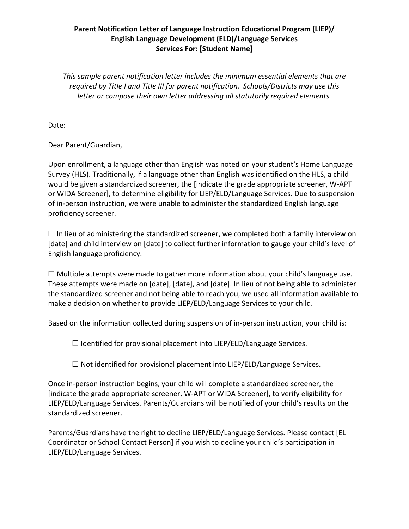### **Parent Notification Letter of Language Instruction Educational Program (LIEP)/ English Language Development (ELD)/Language Services Services For: [Student Name]**

*This sample parent notification letter includes the minimum essential elements that are required by Title I and Title III for parent notification. Schools/Districts may use this letter or compose their own letter addressing all statutorily required elements.*

Date:

Dear Parent/Guardian,

Upon enrollment, a language other than English was noted on your student's Home Language Survey (HLS). Traditionally, if a language other than English was identified on the HLS, a child would be given a standardized screener, the [indicate the grade appropriate screener, W-APT or WIDA Screener], to determine eligibility for LIEP/ELD/Language Services. Due to suspension of in-person instruction, we were unable to administer the standardized English language proficiency screener.

 $\Box$  In lieu of administering the standardized screener, we completed both a family interview on [date] and child interview on [date] to collect further information to gauge your child's level of English language proficiency.

 $\Box$  Multiple attempts were made to gather more information about your child's language use. These attempts were made on [date], [date], and [date]. In lieu of not being able to administer the standardized screener and not being able to reach you, we used all information available to make a decision on whether to provide LIEP/ELD/Language Services to your child.

Based on the information collected during suspension of in-person instruction, your child is:

 $\Box$  Identified for provisional placement into LIEP/ELD/Language Services.

☐ Not identified for provisional placement into LIEP/ELD/Language Services.

Once in-person instruction begins, your child will complete a standardized screener, the [indicate the grade appropriate screener, W-APT or WIDA Screener], to verify eligibility for LIEP/ELD/Language Services. Parents/Guardians will be notified of your child's results on the standardized screener.

Parents/Guardians have the right to decline LIEP/ELD/Language Services. Please contact [EL Coordinator or School Contact Person] if you wish to decline your child's participation in LIEP/ELD/Language Services.